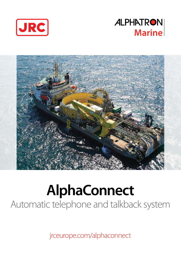





# **AlphaConnect** Automatic telephone and talkback system

jrceurope.com/alphaconnect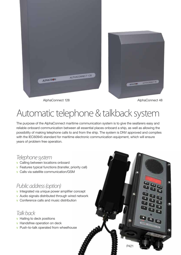

AlphaConnect 128 AlphaConnect 48

### Automatic telephone & talkback system

The purpose of the AlphaConnect maritime communication system is to give the seafarers easy and reliable onboard communication between all essential places onboard a ship, as well as allowing the possibility of making telephone calls to and from the ship. The system is DNV approved and complies with the IEC60945 standard for maritime electronic communication equipment, which will ensure years of problem free operation.

#### *Telephone system*

- v Calling between locations onboard
- v Features typical functions (transfer, priority call)
- v Calls via satellite communication/GSM

#### *Public address (option)*

- v Integrated via unique power amplifier concept
- v Audio signals distributed through wired network
- v Conference calls and music distribution

*Talk back*

- v Hailing to deck positions
- v Handsfree operation on deck
- v Push-to-talk operated from wheelhouse

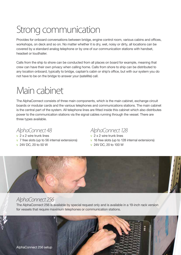### Strong communication

Provides for onboard conversations between bridge, engine control room, various cabins and offices, workshops, on deck and so on. No matter whether it is dry, wet, noisy or dirty, all locations can be covered by a standard analog telephone or by one of our communication stations with handset, headset or loudhailer.

Calls from the ship to shore can be conducted from all places on board for example, meaning that crew can have their own privacy when calling home. Calls from shore to ship can be distributed to any location onboard, typically to bridge, captain's cabin or ship's office, but with our system you do not have to be on the bridge to answer your (satellite) call.

### Main cabinet

The AlphaConnect consists of three main components, which is the main cabinet, exchange circuit boards or modular cards and the various telephones and communications stations. The main cabinet is the central part of the system. All telephone lines are fitted inside this cabinet which also distributes power to the communication stations via the signal cables running through the vessel. There are three types available.

*AlphaConnect 48* v 2 x 2 wire trunk lines v 7 free slots (up to 56 internal extensions)

#### v 24V DC, 20 to 50 W

#### *AlphaConnect 128*

v 2 x 2 wire trunk lines v 16 free slots (up to 128 internal extensions) v 24V DC, 20 to 100 W



#### *AlphaConnect 256*

The AlphaConnect 256 is available by special request only and is available in a 19-inch rack version for vessels that require maximum telephones or communication stations.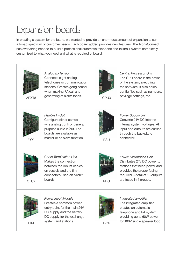### Expansion boards

In creating a system for the future, we wanted to provide an enormous amount of expansion to suit a broad spectrum of customer needs. Each board added provides new features. The AlphaConnect has everything needed to build a professional automatic telephone and talkbalk system completely customized to what you need and what is required onboard.



PIM

DC supply and the battery DC supply for the exchange system and stations.

LV60

telephone and PA system, providing up to 60W power for 100V single speaker loop.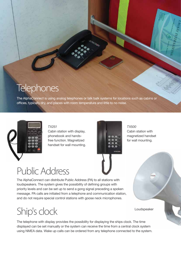#### **Telephones**

The AlphaConnect is using analog telephones or talk balk systems for locations such as cabins or offices, typically dry, and places with room temperature and little to no noise.



#### *TX251*

Cabin station with display, phonebook and handsfree function. Magnetized handset for wall mounting.



*TX500* Cabin station with magnetized handset for wall mounting.

#### Public Address

The AlphaConnect can distribute Public Address (PA) to all stations with loudspeakers. The system gives the possibility of defining groups with priority levels and can be set up to send a gong signal preceding a spoken message. PA calls are initiated from a telephone and communication station, and do not require special control stations with goose neck microphones.

Ship's clock

The telephone with display provides the possibility for displaying the ships clock. The time displayed can be set manually or the system can receive the time from a central clock system using NMEA data. Wake up calls can be ordered from any telephone connected to the system.

Loudspeaker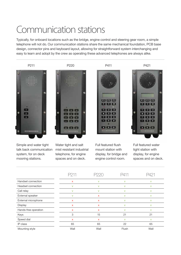#### Communication stations

Typically, for onboard locations such as the bridge, engine control and steering gear room, a simple telephone will not do. Our communication stations share the same mechanical foundation, PCB base design, connector pins and keyboard layout, allowing for straightforward system interchanging and easy to learn and adopt by the crew as operating these advanced telephones are always alike.



Simple and water tight talk back communication system, for on deck mooring stations.

Water tight and salt mist resistant industrial telephone, for engine spaces and on deck.

Full featured flush mount station with display, for bridge and engine control room.

Full featured water tight station with display, for engine spaces and on deck.

| Handset connection   | $\mathsf{x}$ | v            | $\vee$ | v      |
|----------------------|--------------|--------------|--------|--------|
| Headset connection   | V            | v            | $\vee$ | $\vee$ |
| Call relay           | V            | $\vee$       | V      | v      |
| External speaker     | V            | X            | v      | $\vee$ |
| External microphone  | X            | $\mathsf{x}$ | v      | $\vee$ |
| Display              | $\mathsf{x}$ | $\mathsf{x}$ | $\vee$ | $\vee$ |
| Hands-free operation | X            | X            | $\vee$ | $\vee$ |
| Keys                 | 3            | 15           | 21     | 21     |
| Speed dial           | $\mathsf{x}$ | $\mathsf{x}$ | V      | $\vee$ |
| IP class             | 65           | 65           | 22     | 65     |
| Mounting style       | Wall         | Wall         | Flush  | Wall   |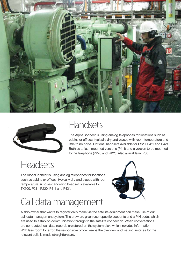



#### Handsets

The AlphaConnect is using analog telephones for locations such as cabins or offices, typically dry and places with room temperature and little to no noise. Optional handsets available for P220, P411 and P421. Both as a flush mounted versions (P411) and a version to be mounted to the telephone (P220 and P421). Also available in IP66.

### **Headsets**

The AlphaConnect is using analog telephones for locations such as cabins or offices, typically dry and places with room temperature. A noise-cancelling headset is available for TX500, P211, P220, P411 and P421.

## Call data management



A ship owner that wants to register calls made via the satellite equipment can make use of our call data management system. The crew are given user specific accounts and a PIN code, which are used to establish communication through to the satellite connection. When conversations are conducted, call data records are stored on the system disk, which includes information. With less room for error, the responsible officer keeps the overview and issuing invoices for the relevant calls is made straightforward.